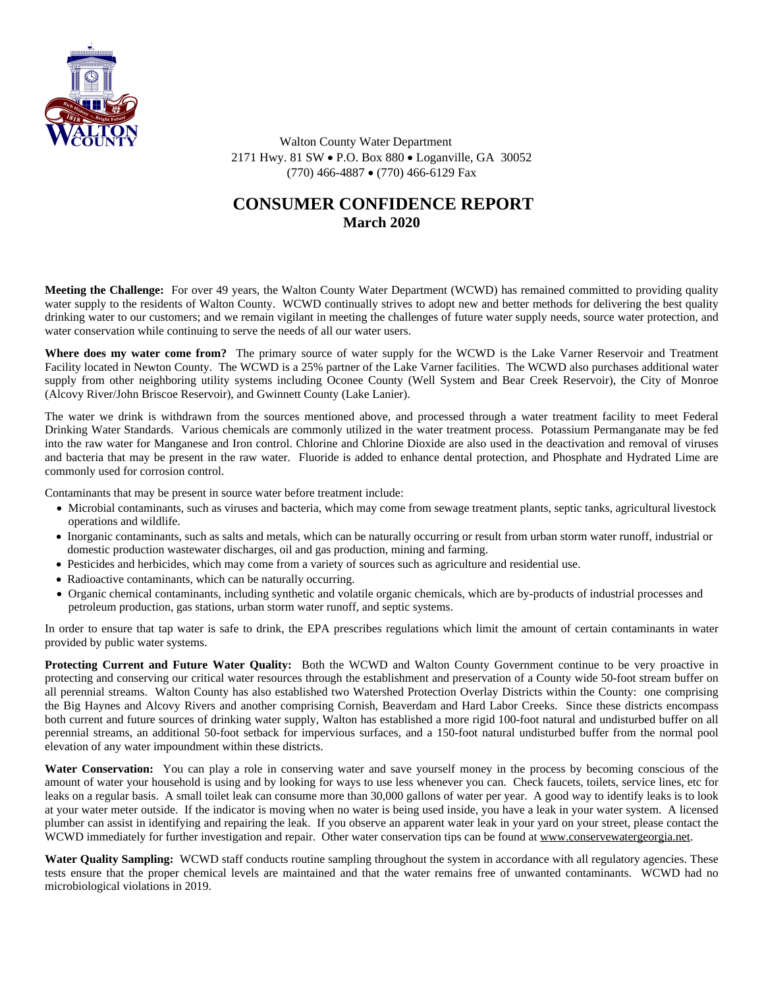

 Walton County Water Department 2171 Hwy. 81 SW · P.O. Box 880 · Loganville, GA 30052 (770) 466-4887 · (770) 466-6129 Fax

## **CONSUMER CONFIDENCE REPORT March 2020**

**Meeting the Challenge:** For over 49 years, the Walton County Water Department (WCWD) has remained committed to providing quality water supply to the residents of Walton County. WCWD continually strives to adopt new and better methods for delivering the best quality drinking water to our customers; and we remain vigilant in meeting the challenges of future water supply needs, source water protection, and water conservation while continuing to serve the needs of all our water users.

**Where does my water come from?** The primary source of water supply for the WCWD is the Lake Varner Reservoir and Treatment Facility located in Newton County. The WCWD is a 25% partner of the Lake Varner facilities. The WCWD also purchases additional water supply from other neighboring utility systems including Oconee County (Well System and Bear Creek Reservoir), the City of Monroe (Alcovy River/John Briscoe Reservoir), and Gwinnett County (Lake Lanier).

The water we drink is withdrawn from the sources mentioned above, and processed through a water treatment facility to meet Federal Drinking Water Standards. Various chemicals are commonly utilized in the water treatment process. Potassium Permanganate may be fed into the raw water for Manganese and Iron control. Chlorine and Chlorine Dioxide are also used in the deactivation and removal of viruses and bacteria that may be present in the raw water. Fluoride is added to enhance dental protection, and Phosphate and Hydrated Lime are commonly used for corrosion control.

Contaminants that may be present in source water before treatment include:

- · Microbial contaminants, such as viruses and bacteria, which may come from sewage treatment plants, septic tanks, agricultural livestock operations and wildlife.
- · Inorganic contaminants, such as salts and metals, which can be naturally occurring or result from urban storm water runoff, industrial or domestic production wastewater discharges, oil and gas production, mining and farming.
- · Pesticides and herbicides, which may come from a variety of sources such as agriculture and residential use.
- Radioactive contaminants, which can be naturally occurring.
- · Organic chemical contaminants, including synthetic and volatile organic chemicals, which are by-products of industrial processes and petroleum production, gas stations, urban storm water runoff, and septic systems.

In order to ensure that tap water is safe to drink, the EPA prescribes regulations which limit the amount of certain contaminants in water provided by public water systems.

**Protecting Current and Future Water Quality:** Both the WCWD and Walton County Government continue to be very proactive in protecting and conserving our critical water resources through the establishment and preservation of a County wide 50-foot stream buffer on all perennial streams. Walton County has also established two Watershed Protection Overlay Districts within the County: one comprising the Big Haynes and Alcovy Rivers and another comprising Cornish, Beaverdam and Hard Labor Creeks. Since these districts encompass both current and future sources of drinking water supply, Walton has established a more rigid 100-foot natural and undisturbed buffer on all perennial streams, an additional 50-foot setback for impervious surfaces, and a 150-foot natural undisturbed buffer from the normal pool elevation of any water impoundment within these districts.

**Water Conservation:** You can play a role in conserving water and save yourself money in the process by becoming conscious of the amount of water your household is using and by looking for ways to use less whenever you can. Check faucets, toilets, service lines, etc for leaks on a regular basis. A small toilet leak can consume more than 30,000 gallons of water per year. A good way to identify leaks is to look at your water meter outside. If the indicator is moving when no water is being used inside, you have a leak in your water system. A licensed plumber can assist in identifying and repairing the leak. If you observe an apparent water leak in your yard on your street, please contact the WCWD immediately for further investigation and repair. Other water conservation tips can be found at [www.conservewatergeorgia.net](http://www.conservewatergeorgia.net).

**Water Quality Sampling:** WCWD staff conducts routine sampling throughout the system in accordance with all regulatory agencies. These tests ensure that the proper chemical levels are maintained and that the water remains free of unwanted contaminants. WCWD had no microbiological violations in 2019.